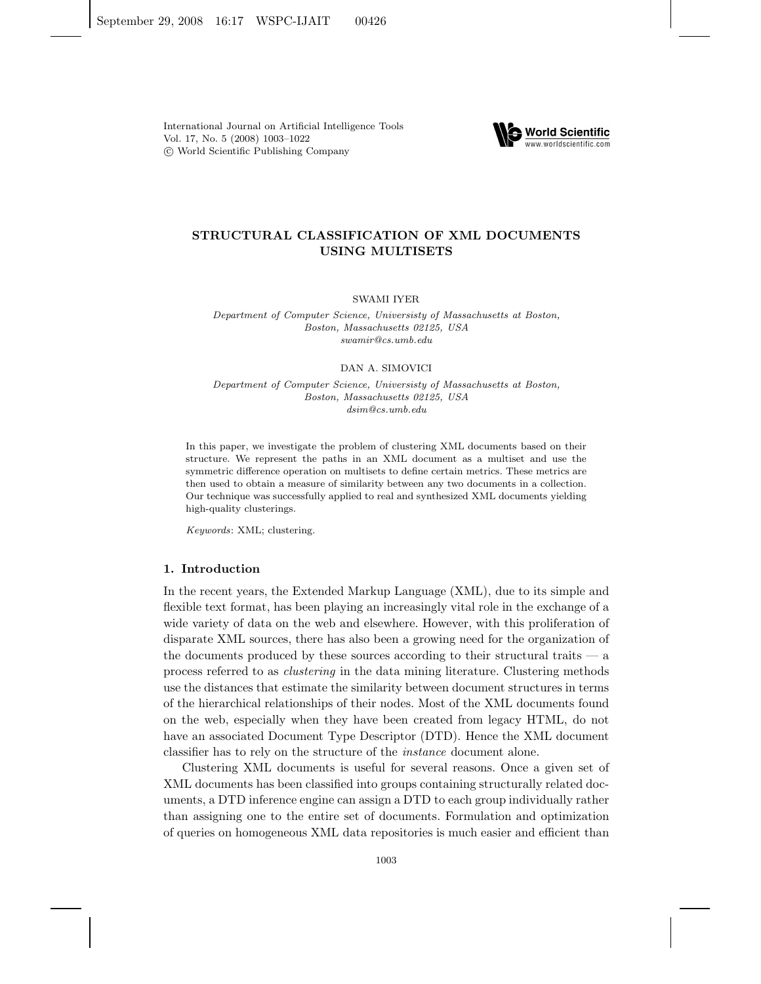International Journal on Artificial Intelligence Tools Vol. 17, No. 5 (2008) 1003–1022 c World Scientific Publishing Company



# **STRUCTURAL CLASSIFICATION OF XML DOCUMENTS USING MULTISETS**

SWAMI IYER

*Department of Computer Science, Universisty of Massachusetts at Boston, Boston, Massachusetts 02125, USA swamir@cs.umb.edu*

#### DAN A. SIMOVICI

*Department of Computer Science, Universisty of Massachusetts at Boston, Boston, Massachusetts 02125, USA dsim@cs.umb.edu*

In this paper, we investigate the problem of clustering XML documents based on their structure. We represent the paths in an XML document as a multiset and use the symmetric difference operation on multisets to define certain metrics. These metrics are then used to obtain a measure of similarity between any two documents in a collection. Our technique was successfully applied to real and synthesized XML documents yielding high-quality clusterings.

*Keywords*: XML; clustering.

## **1. Introduction**

In the recent years, the Extended Markup Language (XML), due to its simple and flexible text format, has been playing an increasingly vital role in the exchange of a wide variety of data on the web and elsewhere. However, with this proliferation of disparate XML sources, there has also been a growing need for the organization of the documents produced by these sources according to their structural traits — a process referred to as *clustering* in the data mining literature. Clustering methods use the distances that estimate the similarity between document structures in terms of the hierarchical relationships of their nodes. Most of the XML documents found on the web, especially when they have been created from legacy HTML, do not have an associated Document Type Descriptor (DTD). Hence the XML document classifier has to rely on the structure of the *instance* document alone.

Clustering XML documents is useful for several reasons. Once a given set of XML documents has been classified into groups containing structurally related documents, a DTD inference engine can assign a DTD to each group individually rather than assigning one to the entire set of documents. Formulation and optimization of queries on homogeneous XML data repositories is much easier and efficient than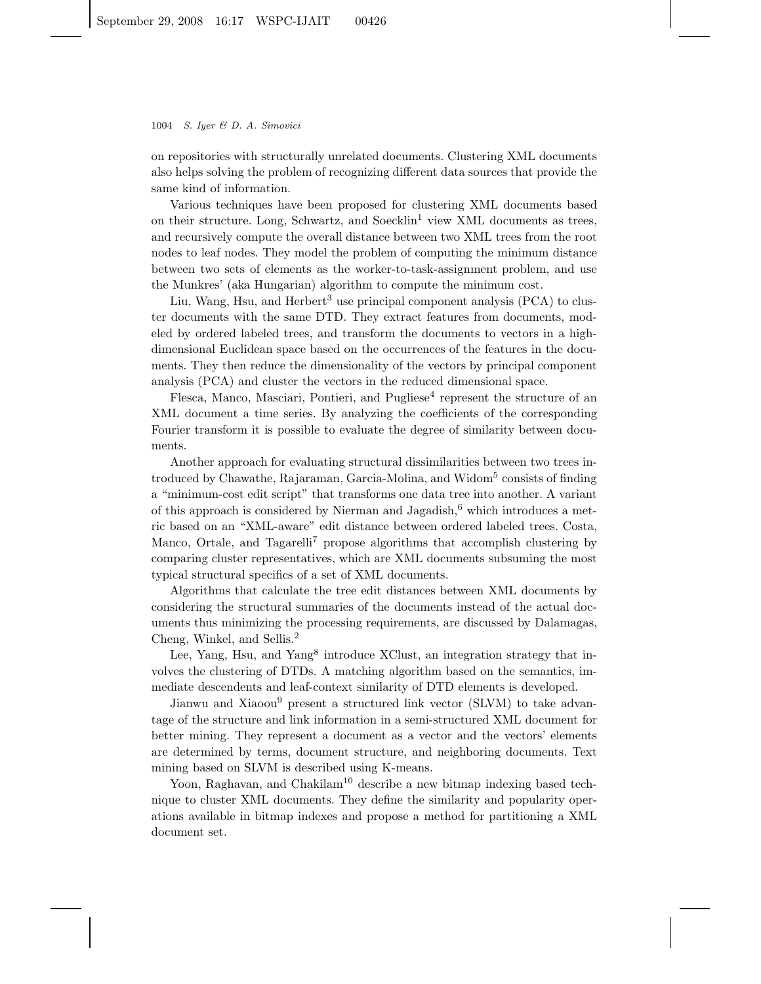on repositories with structurally unrelated documents. Clustering XML documents also helps solving the problem of recognizing different data sources that provide the same kind of information.

Various techniques have been proposed for clustering XML documents based on their structure. Long, Schwartz, and Soecklin<sup>1</sup> view XML documents as trees, and recursively compute the overall distance between two XML trees from the root nodes to leaf nodes. They model the problem of computing the minimum distance between two sets of elements as the worker-to-task-assignment problem, and use the Munkres' (aka Hungarian) algorithm to compute the minimum cost.

Liu, Wang, Hsu, and Herbert<sup>3</sup> use principal component analysis  $(PCA)$  to cluster documents with the same DTD. They extract features from documents, modeled by ordered labeled trees, and transform the documents to vectors in a highdimensional Euclidean space based on the occurrences of the features in the documents. They then reduce the dimensionality of the vectors by principal component analysis (PCA) and cluster the vectors in the reduced dimensional space.

 $Flesca, Manco, Masciari, Pontieri, and Pugliese<sup>4</sup> represent the structure of an$ XML document a time series. By analyzing the coefficients of the corresponding Fourier transform it is possible to evaluate the degree of similarity between documents.

Another approach for evaluating structural dissimilarities between two trees introduced by Chawathe, Rajaraman, Garcia-Molina, and Widom<sup>5</sup> consists of finding a "minimum-cost edit script" that transforms one data tree into another. A variant of this approach is considered by Nierman and Jagadish, $6$  which introduces a metric based on an "XML-aware" edit distance between ordered labeled trees. Costa, Manco, Ortale, and Tagarelli<sup>7</sup> propose algorithms that accomplish clustering by comparing cluster representatives, which are XML documents subsuming the most typical structural specifics of a set of XML documents.

Algorithms that calculate the tree edit distances between XML documents by considering the structural summaries of the documents instead of the actual documents thus minimizing the processing requirements, are discussed by Dalamagas, Cheng, Winkel, and Sellis.<sup>2</sup>

Lee, Yang, Hsu, and Yang<sup>8</sup> introduce XClust, an integration strategy that involves the clustering of DTDs. A matching algorithm based on the semantics, immediate descendents and leaf-context similarity of DTD elements is developed.

Jianwu and Xiaoou<sup>9</sup> present a structured link vector (SLVM) to take advantage of the structure and link information in a semi-structured XML document for better mining. They represent a document as a vector and the vectors' elements are determined by terms, document structure, and neighboring documents. Text mining based on SLVM is described using K-means.

Yoon, Raghavan, and Chakilam<sup>10</sup> describe a new bitmap indexing based technique to cluster XML documents. They define the similarity and popularity operations available in bitmap indexes and propose a method for partitioning a XML document set.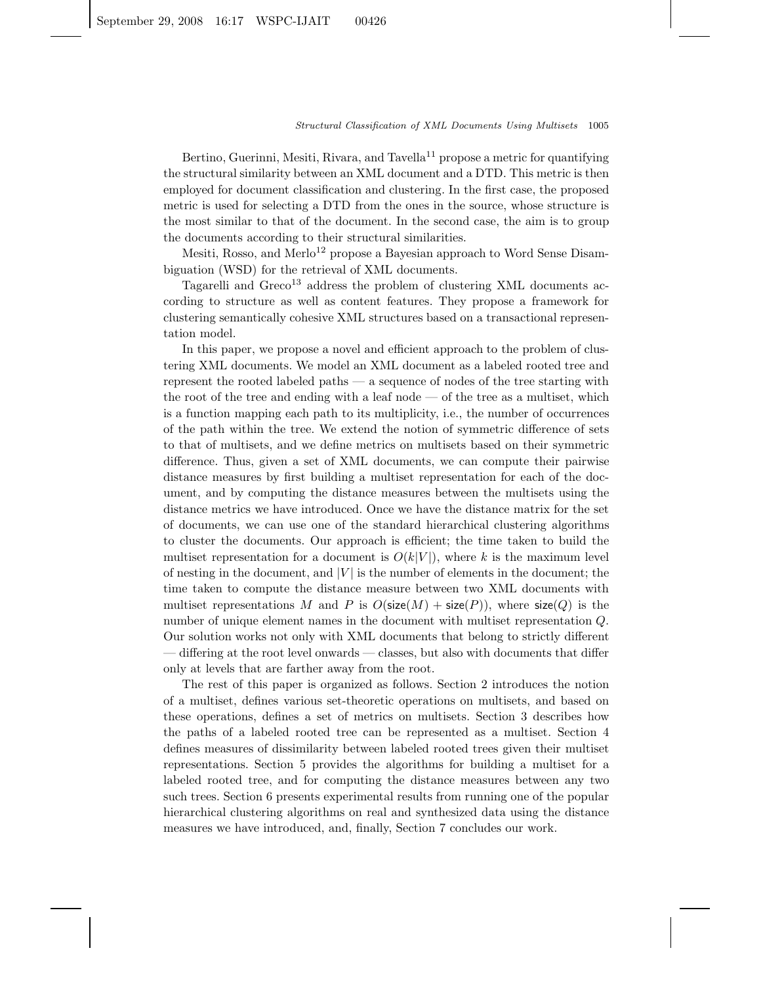Bertino, Guerinni, Mesiti, Rivara, and Tavella<sup>11</sup> propose a metric for quantifying the structural similarity between an XML document and a DTD. This metric is then employed for document classification and clustering. In the first case, the proposed metric is used for selecting a DTD from the ones in the source, whose structure is the most similar to that of the document. In the second case, the aim is to group the documents according to their structural similarities.

Mesiti, Rosso, and Merlo<sup>12</sup> propose a Bayesian approach to Word Sense Disambiguation (WSD) for the retrieval of XML documents.

Tagarelli and  $Greco<sup>13</sup>$  address the problem of clustering XML documents according to structure as well as content features. They propose a framework for clustering semantically cohesive XML structures based on a transactional representation model.

In this paper, we propose a novel and efficient approach to the problem of clustering XML documents. We model an XML document as a labeled rooted tree and represent the rooted labeled paths — a sequence of nodes of the tree starting with the root of the tree and ending with a leaf node — of the tree as a multiset, which is a function mapping each path to its multiplicity, i.e., the number of occurrences of the path within the tree. We extend the notion of symmetric difference of sets to that of multisets, and we define metrics on multisets based on their symmetric difference. Thus, given a set of XML documents, we can compute their pairwise distance measures by first building a multiset representation for each of the document, and by computing the distance measures between the multisets using the distance metrics we have introduced. Once we have the distance matrix for the set of documents, we can use one of the standard hierarchical clustering algorithms to cluster the documents. Our approach is efficient; the time taken to build the multiset representation for a document is  $O(k|V|)$ , where k is the maximum level of nesting in the document, and  $|V|$  is the number of elements in the document; the time taken to compute the distance measure between two XML documents with multiset representations M and P is  $O(\text{size}(M) + \text{size}(P))$ , where  $\text{size}(Q)$  is the number of unique element names in the document with multiset representation Q. Our solution works not only with XML documents that belong to strictly different — differing at the root level onwards — classes, but also with documents that differ only at levels that are farther away from the root.

The rest of this paper is organized as follows. Section 2 introduces the notion of a multiset, defines various set-theoretic operations on multisets, and based on these operations, defines a set of metrics on multisets. Section 3 describes how the paths of a labeled rooted tree can be represented as a multiset. Section 4 defines measures of dissimilarity between labeled rooted trees given their multiset representations. Section 5 provides the algorithms for building a multiset for a labeled rooted tree, and for computing the distance measures between any two such trees. Section 6 presents experimental results from running one of the popular hierarchical clustering algorithms on real and synthesized data using the distance measures we have introduced, and, finally, Section 7 concludes our work.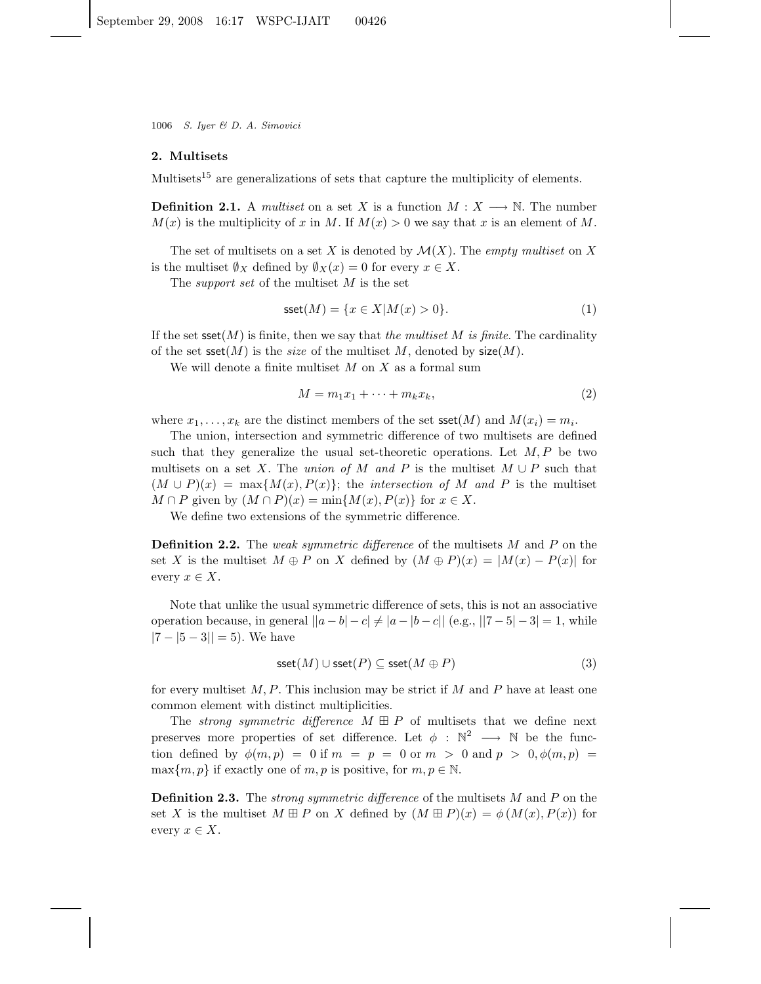## **2. Multisets**

Multisets<sup>15</sup> are generalizations of sets that capture the multiplicity of elements.

**Definition 2.1.** A *multiset* on a set X is a function  $M: X \longrightarrow \mathbb{N}$ . The number  $M(x)$  is the multiplicity of x in M. If  $M(x) > 0$  we say that x is an element of M.

The set of multisets on a set X is denoted by  $\mathcal{M}(X)$ . The *empty multiset* on X is the multiset  $\emptyset_X$  defined by  $\emptyset_X(x) = 0$  for every  $x \in X$ .

The *support set* of the multiset M is the set

$$
\text{sset}(M) = \{x \in X | M(x) > 0\}.\tag{1}
$$

If the set  $\text{sset}(M)$  is finite, then we say that *the multiset* M *is finite*. The cardinality of the set  $\text{sset}(M)$  is the *size* of the multiset M, denoted by  $\text{size}(M)$ .

We will denote a finite multiset  $M$  on  $X$  as a formal sum

$$
M = m_1 x_1 + \dots + m_k x_k, \tag{2}
$$

where  $x_1, \ldots, x_k$  are the distinct members of the set  $\text{sset}(M)$  and  $M(x_i) = m_i$ .

The union, intersection and symmetric difference of two multisets are defined such that they generalize the usual set-theoretic operations. Let  $M, P$  be two multisets on a set X. The *union of* M and P is the multiset  $M \cup P$  such that  $(M \cup P)(x) = \max\{M(x), P(x)\};$  the *intersection of* M and P is the multiset  $M \cap P$  given by  $(M \cap P)(x) = \min\{M(x), P(x)\}\$ for  $x \in X$ .

We define two extensions of the symmetric difference.

**Definition 2.2.** The *weak symmetric difference* of the multisets M and P on the set X is the multiset  $M \oplus P$  on X defined by  $(M \oplus P)(x) = |M(x) - P(x)|$  for every  $x \in X$ .

Note that unlike the usual symmetric difference of sets, this is not an associative operation because, in general  $||a - b| - c|| \neq |a - |b - c||$  (e.g.,  $||7 - 5| - 3| = 1$ , while  $|7 - 5 - 3|| = 5$ . We have

$$
\text{sset}(M) \cup \text{sset}(P) \subseteq \text{sset}(M \oplus P) \tag{3}
$$

for every multiset  $M, P$ . This inclusion may be strict if M and P have at least one common element with distinct multiplicities.

The *strong symmetric difference*  $M \oplus P$  of multisets that we define next preserves more properties of set difference. Let  $\phi : \mathbb{N}^2 \longrightarrow \mathbb{N}$  be the function defined by  $\phi(m, p) = 0$  if  $m = p = 0$  or  $m > 0$  and  $p > 0, \phi(m, p) =$  $\max\{m, p\}$  if exactly one of m, p is positive, for  $m, p \in \mathbb{N}$ .

**Definition 2.3.** The *strong symmetric difference* of the multisets M and P on the set X is the multiset  $M \boxplus P$  on X defined by  $(M \boxplus P)(x) = \phi(M(x), P(x))$  for every  $x \in X$ .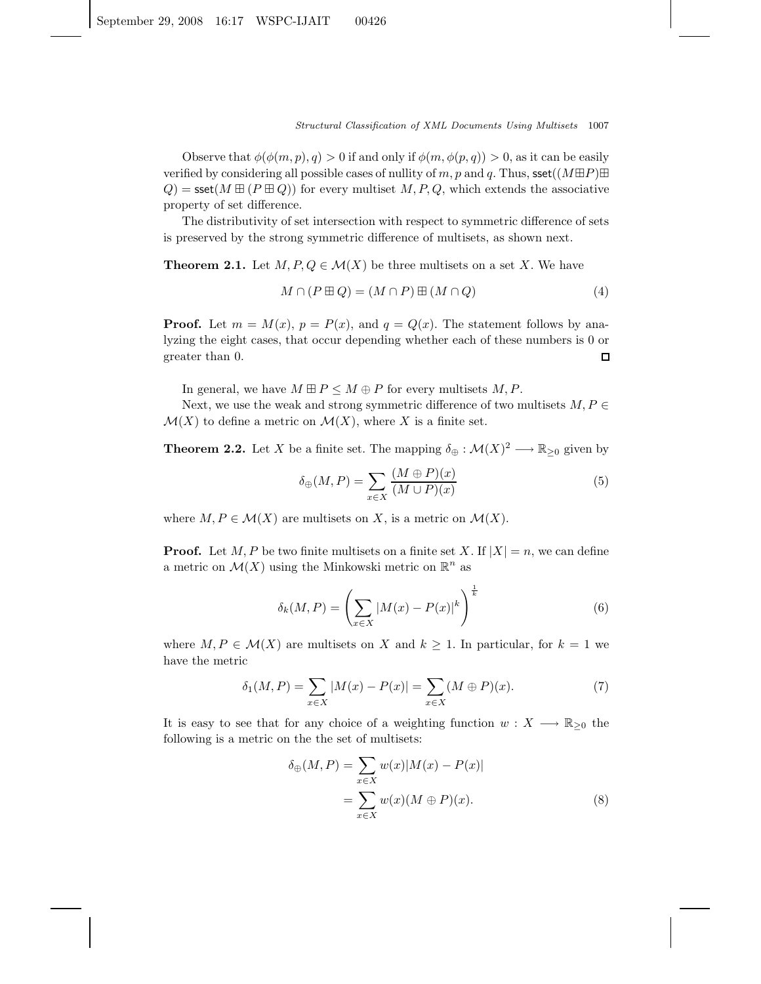Observe that  $\phi(\phi(m, p), q) > 0$  if and only if  $\phi(m, \phi(p, q)) > 0$ , as it can be easily verified by considering all possible cases of nullity of m, p and q. Thus, sset( $(M\boxplus P)\boxplus$  $Q$ ) = sset( $M \boxplus (P \boxplus Q)$ ) for every multiset  $M, P, Q$ , which extends the associative property of set difference.

The distributivity of set intersection with respect to symmetric difference of sets is preserved by the strong symmetric difference of multisets, as shown next.

**Theorem 2.1.** Let  $M, P, Q \in \mathcal{M}(X)$  be three multisets on a set X. We have

$$
M \cap (P \boxplus Q) = (M \cap P) \boxplus (M \cap Q) \tag{4}
$$

**Proof.** Let  $m = M(x)$ ,  $p = P(x)$ , and  $q = Q(x)$ . The statement follows by analyzing the eight cases, that occur depending whether each of these numbers is 0 or greater than 0. □

In general, we have  $M \boxplus P \leq M \oplus P$  for every multisets  $M, P$ .

Next, we use the weak and strong symmetric difference of two multisets  $M, P \in$  $\mathcal{M}(X)$  to define a metric on  $\mathcal{M}(X)$ , where X is a finite set.

**Theorem 2.2.** Let X be a finite set. The mapping  $\delta_{\oplus} : \mathcal{M}(X)^2 \longrightarrow \mathbb{R}_{\geq 0}$  given by

$$
\delta_{\oplus}(M, P) = \sum_{x \in X} \frac{(M \oplus P)(x)}{(M \cup P)(x)}\tag{5}
$$

where  $M, P \in \mathcal{M}(X)$  are multisets on X, is a metric on  $\mathcal{M}(X)$ .

**Proof.** Let M, P be two finite multisets on a finite set X. If  $|X| = n$ , we can define a metric on  $\mathcal{M}(X)$  using the Minkowski metric on  $\mathbb{R}^n$  as

$$
\delta_k(M, P) = \left(\sum_{x \in X} |M(x) - P(x)|^k\right)^{\frac{1}{k}}
$$
(6)

where  $M, P \in \mathcal{M}(X)$  are multisets on X and  $k \geq 1$ . In particular, for  $k = 1$  we have the metric

$$
\delta_1(M, P) = \sum_{x \in X} |M(x) - P(x)| = \sum_{x \in X} (M \oplus P)(x). \tag{7}
$$

It is easy to see that for any choice of a weighting function  $w: X \longrightarrow \mathbb{R}_{\geq 0}$  the following is a metric on the the set of multisets:

$$
\delta_{\oplus}(M, P) = \sum_{x \in X} w(x)|M(x) - P(x)|
$$
  
= 
$$
\sum_{x \in X} w(x)(M \oplus P)(x).
$$
 (8)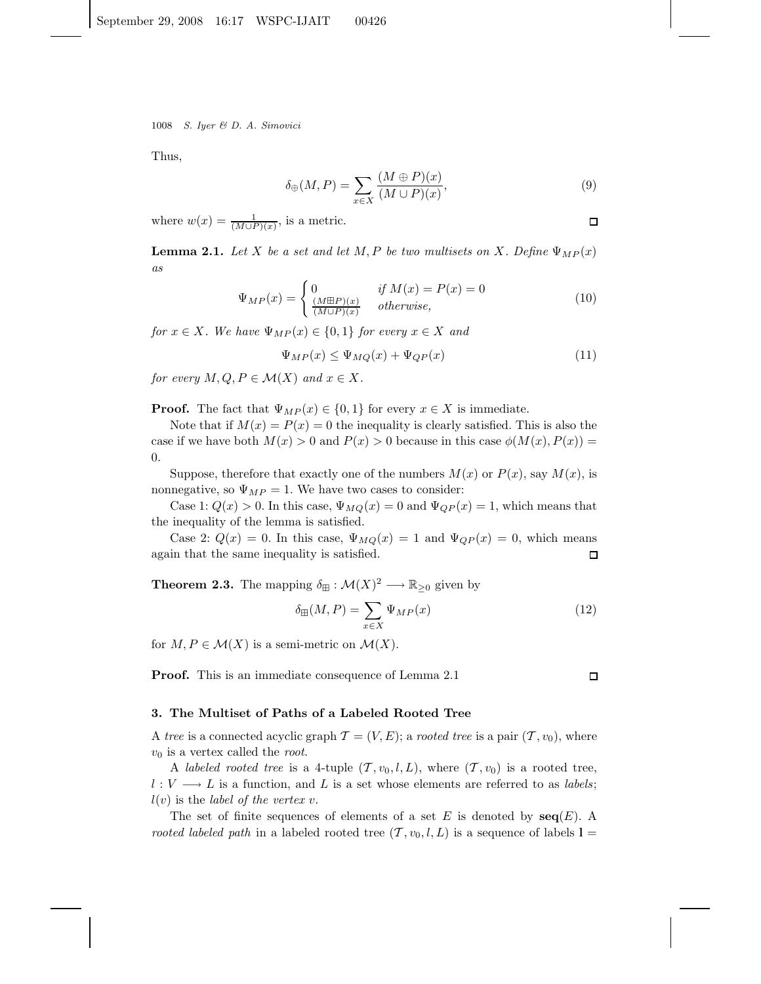Thus,

$$
\delta_{\oplus}(M,P) = \sum_{x \in X} \frac{(M \oplus P)(x)}{(M \cup P)(x)},\tag{9}
$$

where  $w(x) = \frac{1}{(M \cup P)(x)}$ , is a metric.

**Lemma 2.1.** Let X be a set and let M, P be two multisets on X. Define  $\Psi_{MP}(x)$ *as*

$$
\Psi_{MP}(x) = \begin{cases}\n0 & \text{if } M(x) = P(x) = 0 \\
\frac{(M \boxplus P)(x)}{(M \cup P)(x)} & \text{otherwise,} \n\end{cases}
$$
\n(10)

*for*  $x \in X$ *. We have*  $\Psi_{MP}(x) \in \{0,1\}$  *for every*  $x \in X$  *and* 

$$
\Psi_{MP}(x) \le \Psi_{MQ}(x) + \Psi_{QP}(x) \tag{11}
$$

*for every*  $M, Q, P \in \mathcal{M}(X)$  *and*  $x \in X$ *.* 

**Proof.** The fact that  $\Psi_{MP}(x) \in \{0,1\}$  for every  $x \in X$  is immediate.

Note that if  $M(x) = P(x) = 0$  the inequality is clearly satisfied. This is also the case if we have both  $M(x) > 0$  and  $P(x) > 0$  because in this case  $\phi(M(x), P(x)) =$ 0.

Suppose, therefore that exactly one of the numbers  $M(x)$  or  $P(x)$ , say  $M(x)$ , is nonnegative, so  $\Psi_{MP} = 1$ . We have two cases to consider:

Case 1:  $Q(x) > 0$ . In this case,  $\Psi_{MQ}(x) = 0$  and  $\Psi_{QP}(x) = 1$ , which means that the inequality of the lemma is satisfied.

Case 2:  $Q(x) = 0$ . In this case,  $\Psi_{MQ}(x) = 1$  and  $\Psi_{QP}(x) = 0$ , which means again that the same inequality is satisfied.  $\Box$ 

**Theorem 2.3.** The mapping  $\delta_{\boxplus} : \mathcal{M}(X)^2 \longrightarrow \mathbb{R}_{\geq 0}$  given by

$$
\delta_{\mathbb{H}}(M, P) = \sum_{x \in X} \Psi_{MP}(x) \tag{12}
$$

for  $M, P \in \mathcal{M}(X)$  is a semi-metric on  $\mathcal{M}(X)$ .

**Proof.** This is an immediate consequence of Lemma 2.1

## **3. The Multiset of Paths of a Labeled Rooted Tree**

A *tree* is a connected acyclic graph  $\mathcal{T} = (V, E)$ ; a *rooted tree* is a pair  $(\mathcal{T}, v_0)$ , where  $v_0$  is a vertex called the *root*.

A *labeled rooted tree* is a 4-tuple  $(T, v_0, l, L)$ , where  $(T, v_0)$  is a rooted tree,  $l: V \longrightarrow L$  is a function, and L is a set whose elements are referred to as *labels*;  $l(v)$  is the *label of the vertex* v.

The set of finite sequences of elements of a set E is denoted by  $\text{seq}(E)$ . A *rooted labeled path* in a labeled rooted tree  $(T, v_0, l, L)$  is a sequence of labels  $l =$ 

 $\Box$ 

 $\Box$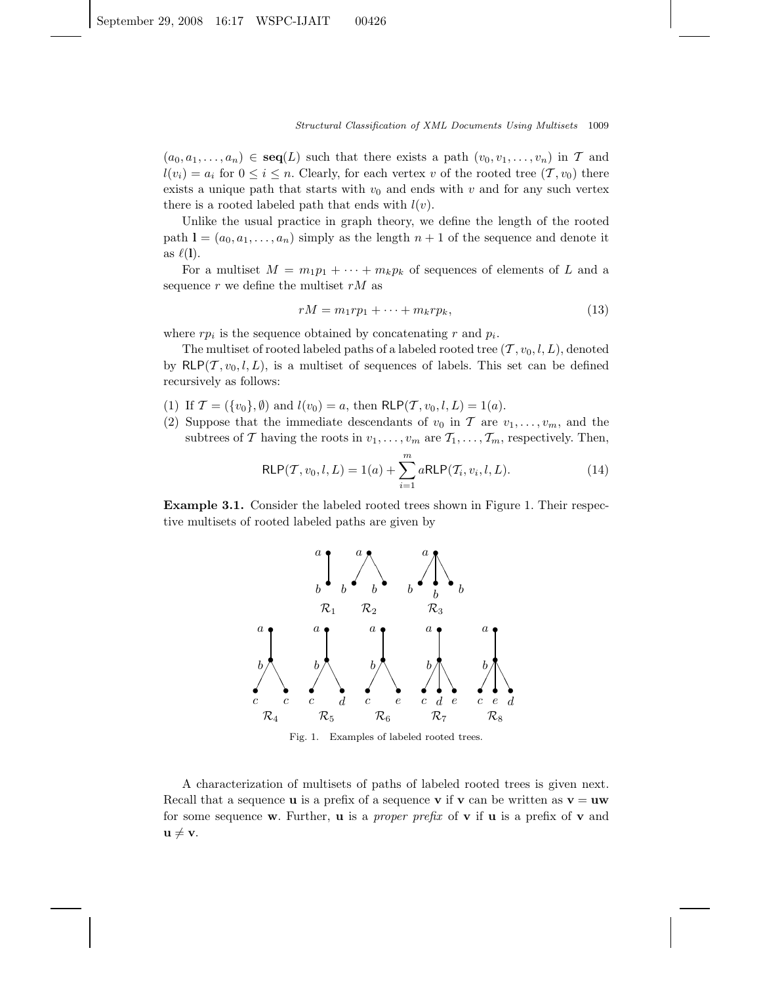$(a_0, a_1,...,a_n) \in \text{seq}(L)$  such that there exists a path  $(v_0, v_1,...,v_n)$  in T and  $l(v_i) = a_i$  for  $0 \leq i \leq n$ . Clearly, for each vertex v of the rooted tree  $(\mathcal{T}, v_0)$  there exists a unique path that starts with  $v_0$  and ends with v and for any such vertex there is a rooted labeled path that ends with  $l(v)$ .

Unlike the usual practice in graph theory, we define the length of the rooted path  $\mathbf{l} = (a_0, a_1, \dots, a_n)$  simply as the length  $n + 1$  of the sequence and denote it as  $\ell(1)$ .

For a multiset  $M = m_1p_1 + \cdots + m_kp_k$  of sequences of elements of L and a sequence  $r$  we define the multiset  $rM$  as

$$
rM = m_1rp_1 + \dots + m_krp_k, \tag{13}
$$

where  $rp_i$  is the sequence obtained by concatenating r and  $p_i$ .

The multiset of rooted labeled paths of a labeled rooted tree  $(T, v_0, l, L)$ , denoted by  $RLP(\mathcal{T}, v_0, l, L)$ , is a multiset of sequences of labels. This set can be defined recursively as follows:

- (1) If  $\mathcal{T} = (\{v_0\}, \emptyset)$  and  $l(v_0) = a$ , then  $\mathsf{RLP}(\mathcal{T}, v_0, l, L) = 1(a)$ .
- (2) Suppose that the immediate descendants of  $v_0$  in T are  $v_1, \ldots, v_m$ , and the subtrees of T having the roots in  $v_1, \ldots, v_m$  are  $\mathcal{T}_1, \ldots, \mathcal{T}_m$ , respectively. Then,

$$
RLP(\mathcal{T}, v_0, l, L) = 1(a) + \sum_{i=1}^{m} aRLP(\mathcal{T}_i, v_i, l, L).
$$
 (14)

**Example 3.1.** Consider the labeled rooted trees shown in Figure 1. Their respective multisets of rooted labeled paths are given by



Fig. 1. Examples of labeled rooted trees.

A characterization of multisets of paths of labeled rooted trees is given next. Recall that a sequence **u** is a prefix of a sequence **v** if **v** can be written as  $\mathbf{v} = \mathbf{u}\mathbf{w}$ for some sequence **w**. Further, **u** is a *proper prefix* of **v** if **u** is a prefix of **v** and  $\mathbf{u} \neq \mathbf{v}$ .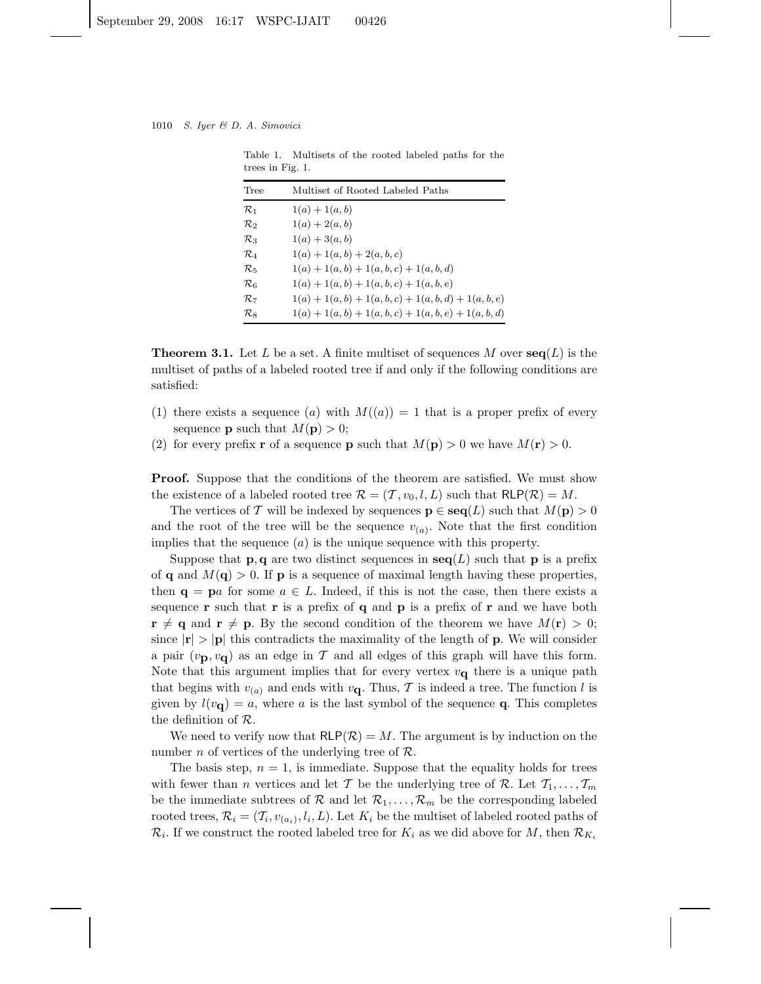Table 1. Multisets of the rooted labeled paths for the trees in Fig. 1.

| Tree              | Multiset of Rooted Labeled Paths                        |
|-------------------|---------------------------------------------------------|
| $\mathcal{R}_1$   | $1(a) + 1(a, b)$                                        |
| $\mathcal{R}_2$   | $1(a) + 2(a, b)$                                        |
| $\mathcal{R}_3$   | $1(a) + 3(a, b)$                                        |
| $\mathcal{R}_4$   | $1(a) + 1(a, b) + 2(a, b, c)$                           |
| $\mathcal{R}_5$   | $1(a) + 1(a, b) + 1(a, b, c) + 1(a, b, d)$              |
| $\mathcal{R}_{6}$ | $1(a) + 1(a, b) + 1(a, b, c) + 1(a, b, e)$              |
| $\mathcal{R}_7$   | $1(a) + 1(a, b) + 1(a, b, c) + 1(a, b, d) + 1(a, b, e)$ |
| $\mathcal{R}_8$   | $1(a) + 1(a, b) + 1(a, b, c) + 1(a, b, e) + 1(a, b, d)$ |
|                   |                                                         |

**Theorem 3.1.** Let L be a set. A finite multiset of sequences M over  $\text{seq}(L)$  is the multiset of paths of a labeled rooted tree if and only if the following conditions are satisfied:

- (1) there exists a sequence (a) with  $M((a)) = 1$  that is a proper prefix of every sequence **p** such that  $M(\mathbf{p}) > 0$ ;
- (2) for every prefix **r** of a sequence **p** such that  $M(\mathbf{p}) > 0$  we have  $M(\mathbf{r}) > 0$ .

**Proof.** Suppose that the conditions of the theorem are satisfied. We must show the existence of a labeled rooted tree  $\mathcal{R} = (\mathcal{T}, v_0, l, L)$  such that  $\mathsf{RLP}(\mathcal{R}) = M$ .

The vertices of T will be indexed by sequences  $p \in \text{seq}(L)$  such that  $M(p) > 0$ and the root of the tree will be the sequence  $v_{(a)}$ . Note that the first condition implies that the sequence  $(a)$  is the unique sequence with this property.

Suppose that **p**, **q** are two distinct sequences in  $\text{seq}(L)$  such that **p** is a prefix of **q** and  $M(\mathbf{q}) > 0$ . If **p** is a sequence of maximal length having these properties, then  $\mathbf{q} = \mathbf{p}a$  for some  $a \in L$ . Indeed, if this is not the case, then there exists a sequence **r** such that **r** is a prefix of **q** and **p** is a prefix of **r** and we have both  $\mathbf{r} \neq \mathbf{q}$  and  $\mathbf{r} \neq \mathbf{p}$ . By the second condition of the theorem we have  $M(\mathbf{r}) > 0$ ; since  $|\mathbf{r}| > |\mathbf{p}|$  this contradicts the maximality of the length of **p**. We will consider a pair  $(v_{\mathbf{p}}, v_{\mathbf{q}})$  as an edge in T and all edges of this graph will have this form. Note that this argument implies that for every vertex  $v_{\mathbf{q}}$  there is a unique path that begins with  $v_{(a)}$  and ends with  $v_{\mathbf{q}}$ . Thus, T is indeed a tree. The function l is given by  $l(v_{\mathbf{q}}) = a$ , where a is the last symbol of the sequence **q**. This completes the definition of R.

We need to verify now that  $RLP(\mathcal{R}) = M$ . The argument is by induction on the number *n* of vertices of the underlying tree of  $\mathcal{R}$ .

The basis step,  $n = 1$ , is immediate. Suppose that the equality holds for trees with fewer than *n* vertices and let T be the underlying tree of R. Let  $T_1, \ldots, T_m$ be the immediate subtrees of  $\mathcal R$  and let  $\mathcal R_1,\ldots,\mathcal R_m$  be the corresponding labeled rooted trees,  $\mathcal{R}_i = (\mathcal{T}_i, v_{(a_i)}, l_i, L)$ . Let  $K_i$  be the multiset of labeled rooted paths of  $\mathcal{R}_i$ . If we construct the rooted labeled tree for  $K_i$  as we did above for M, then  $\mathcal{R}_{K_i}$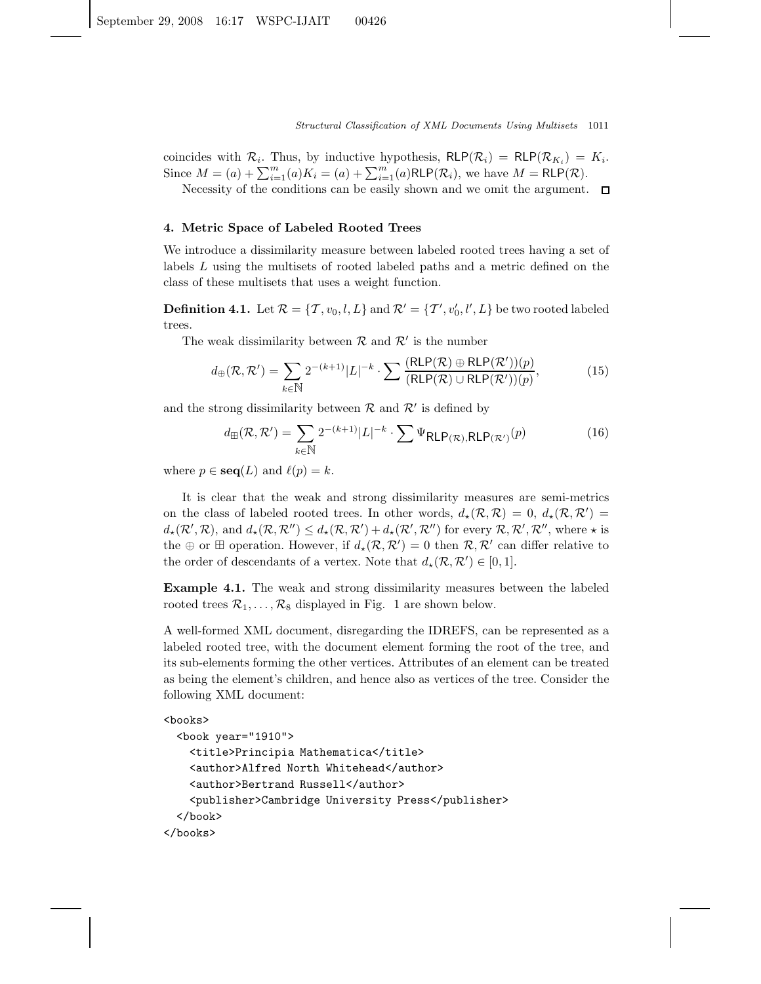coincides with  $\mathcal{R}_i$ . Thus, by inductive hypothesis,  $R\mathsf{LP}(\mathcal{R}_i) = R\mathsf{LP}(\mathcal{R}_{K_i}) = K_i$ . Since  $M = (a) + \sum_{i=1}^{m} (a)K_i = (a) + \sum_{i=1}^{m} (a)RLP(\mathcal{R}_i)$ , we have  $M = RLP(\mathcal{R})$ .

Necessity of the conditions can be easily shown and we omit the argument.  $\square$ 

#### **4. Metric Space of Labeled Rooted Trees**

We introduce a dissimilarity measure between labeled rooted trees having a set of labels L using the multisets of rooted labeled paths and a metric defined on the class of these multisets that uses a weight function.

**Definition 4.1.** Let  $\mathcal{R} = \{T, v_0, l, L\}$  and  $\mathcal{R}' = \{T', v'_0, l', L\}$  be two rooted labeled trees.

The weak dissimilarity between  $\mathcal{R}$  and  $\mathcal{R}'$  is the number

$$
d_{\oplus}(\mathcal{R}, \mathcal{R}') = \sum_{k \in \mathbb{N}} 2^{-(k+1)} |L|^{-k} \cdot \sum \frac{(\text{RLP}(\mathcal{R}) \oplus \text{RLP}(\mathcal{R}'))(p)}{(\text{RLP}(\mathcal{R}) \cup \text{RLP}(\mathcal{R}'))(p)},\tag{15}
$$

and the strong dissimilarity between  $\mathcal R$  and  $\mathcal R'$  is defined by

$$
d_{\mathbb{H}}(\mathcal{R}, \mathcal{R}') = \sum_{k \in \mathbb{N}} 2^{-(k+1)} |L|^{-k} \cdot \sum \Psi_{\mathsf{RLP}(\mathcal{R}), \mathsf{RLP}(\mathcal{R}')}(p) \tag{16}
$$

where  $p \in \text{seq}(L)$  and  $\ell(p) = k$ .

It is clear that the weak and strong dissimilarity measures are semi-metrics on the class of labeled rooted trees. In other words,  $d_{\star}(\mathcal{R}, \mathcal{R}) = 0, d_{\star}(\mathcal{R}, \mathcal{R}') =$  $d_{\star}(\mathcal{R}',\mathcal{R})$ , and  $d_{\star}(\mathcal{R},\mathcal{R}'') \leq d_{\star}(\mathcal{R},\mathcal{R}') + d_{\star}(\mathcal{R}',\mathcal{R}'')$  for every  $\mathcal{R},\mathcal{R}',\mathcal{R}''$ , where  $\star$  is the  $\oplus$  or  $\boxplus$  operation. However, if  $d_{\star}(\mathcal{R}, \mathcal{R}') = 0$  then  $\mathcal{R}, \mathcal{R}'$  can differ relative to the order of descendants of a vertex. Note that  $d_{\star}(\mathcal{R}, \mathcal{R}') \in [0, 1]$ .

**Example 4.1.** The weak and strong dissimilarity measures between the labeled rooted trees  $\mathcal{R}_1, \ldots, \mathcal{R}_8$  displayed in Fig. 1 are shown below.

A well-formed XML document, disregarding the IDREFS, can be represented as a labeled rooted tree, with the document element forming the root of the tree, and its sub-elements forming the other vertices. Attributes of an element can be treated as being the element's children, and hence also as vertices of the tree. Consider the following XML document:

```
<books>
```

```
<book year="1910">
   <title>Principia Mathematica</title>
    <author>Alfred North Whitehead</author>
    <author>Bertrand Russell</author>
    <publisher>Cambridge University Press</publisher>
  </book>
</books>
```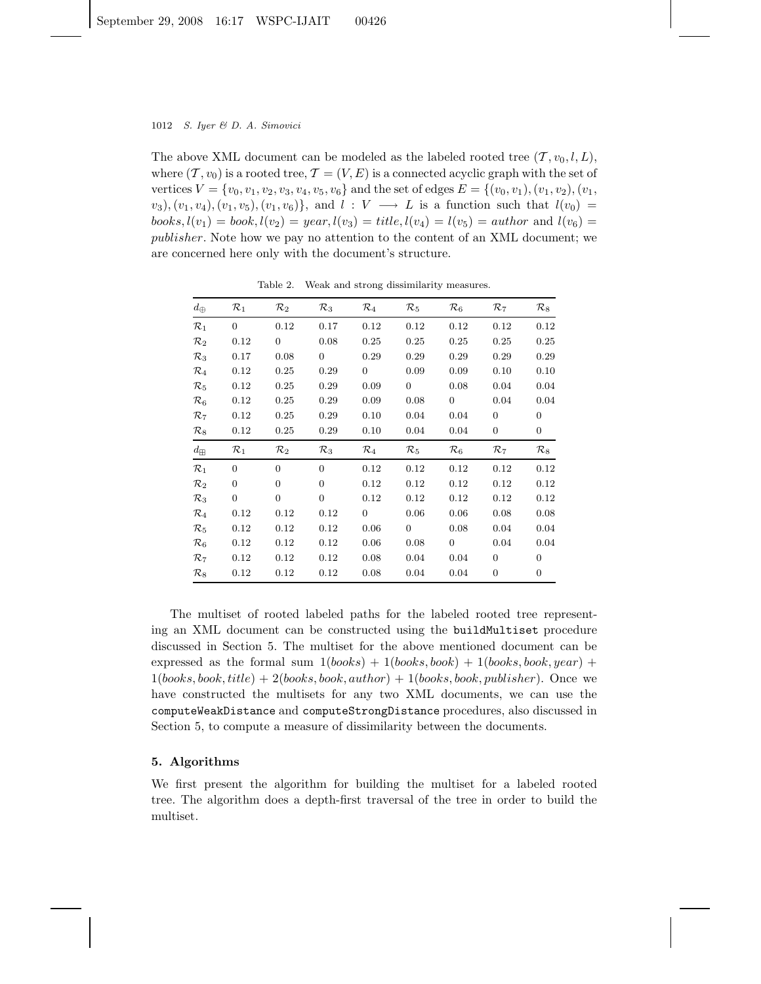The above XML document can be modeled as the labeled rooted tree  $(\mathcal{T}, v_0, l, L)$ , where  $(T, v_0)$  is a rooted tree,  $T = (V, E)$  is a connected acyclic graph with the set of vertices  $V = \{v_0, v_1, v_2, v_3, v_4, v_5, v_6\}$  and the set of edges  $E = \{(v_0, v_1), (v_1, v_2), (v_1, v_3)\}$  $(v_3), (v_1, v_4), (v_1, v_5), (v_1, v_6) \},$  and  $l : V \longrightarrow L$  is a function such that  $l(v_0) =$ books,  $l(v_1) = \text{book}$ ,  $l(v_2) = \text{year}$ ,  $l(v_3) = \text{title}$ ,  $l(v_4) = l(v_5) = \text{author}$  and  $l(v_6) =$ publisher. Note how we pay no attention to the content of an XML document; we are concerned here only with the document's structure.

| $d_{\oplus}$    | $\mathcal{R}_1$ | $\mathcal{R}_2$ | $\mathcal{R}_3$ | $\mathcal{R}_4$ | $\mathcal{R}_5$ | $\mathcal{R}_6$ | $\mathcal{R}_7$ | $\mathcal{R}_8$ |
|-----------------|-----------------|-----------------|-----------------|-----------------|-----------------|-----------------|-----------------|-----------------|
| $\mathcal{R}_1$ | $\Omega$        | 0.12            | 0.17            | 0.12            | 0.12            | 0.12            | 0.12            | 0.12            |
| $\mathcal{R}_2$ | 0.12            | $\overline{0}$  | 0.08            | 0.25            | 0.25            | 0.25            | 0.25            | 0.25            |
| $\mathcal{R}_3$ | 0.17            | 0.08            | $\overline{0}$  | 0.29            | 0.29            | 0.29            | 0.29            | 0.29            |
| $\mathcal{R}_4$ | 0.12            | 0.25            | 0.29            | $\overline{0}$  | 0.09            | 0.09            | 0.10            | 0.10            |
| $\mathcal{R}_5$ | 0.12            | 0.25            | 0.29            | 0.09            | $\overline{0}$  | 0.08            | 0.04            | 0.04            |
| $\mathcal{R}_6$ | 0.12            | 0.25            | 0.29            | 0.09            | 0.08            | $\overline{0}$  | 0.04            | 0.04            |
| $\mathcal{R}_7$ | 0.12            | 0.25            | 0.29            | 0.10            | 0.04            | 0.04            | $\overline{0}$  | $\overline{0}$  |
| $\mathcal{R}_8$ | 0.12            | 0.25            | 0.29            | 0.10            | 0.04            | 0.04            | 0               | 0               |
|                 |                 |                 |                 |                 |                 |                 |                 |                 |
| $d_{\boxplus}$  | $\mathcal{R}_1$ | $\mathcal{R}_2$ | $\mathcal{R}_3$ | $\mathcal{R}_4$ | $\mathcal{R}_5$ | $\mathcal{R}_6$ | $\mathcal{R}_7$ | $\mathcal{R}_8$ |
| $\mathcal{R}_1$ | $\Omega$        | $\overline{0}$  | $\Omega$        | 0.12            | 0.12            | 0.12            | 0.12            | 0.12            |
| $\mathcal{R}_2$ | $\Omega$        | $\overline{0}$  | $\Omega$        | 0.12            | 0.12            | 0.12            | 0.12            | 0.12            |
| $\mathcal{R}_3$ | $\Omega$        | $\overline{0}$  | $\Omega$        | 0.12            | 0.12            | 0.12            | 0.12            | 0.12            |
| $\mathcal{R}_4$ | 0.12            | 0.12            | 0.12            | $\overline{0}$  | 0.06            | 0.06            | 0.08            | 0.08            |
| $\mathcal{R}_5$ | 0.12            | 0.12            | 0.12            | 0.06            | $\overline{0}$  | 0.08            | 0.04            | 0.04            |
| $\mathcal{R}_6$ | 0.12            | 0.12            | 0.12            | 0.06            | 0.08            | $\overline{0}$  | 0.04            | 0.04            |
| $\mathcal{R}_7$ | 0.12            | 0.12            | 0.12            | 0.08            | 0.04            | 0.04            | $\overline{0}$  | $\overline{0}$  |

Table 2. Weak and strong dissimilarity measures.

The multiset of rooted labeled paths for the labeled rooted tree representing an XML document can be constructed using the buildMultiset procedure discussed in Section 5. The multiset for the above mentioned document can be expressed as the formal sum  $1(books) + 1(books, book) + 1(books, book, year) +$  $1(books, book, title) + 2(books, book, author) + 1(books, book, publisher)$ . Once we have constructed the multisets for any two XML documents, we can use the computeWeakDistance and computeStrongDistance procedures, also discussed in Section 5, to compute a measure of dissimilarity between the documents.

## **5. Algorithms**

We first present the algorithm for building the multiset for a labeled rooted tree. The algorithm does a depth-first traversal of the tree in order to build the multiset.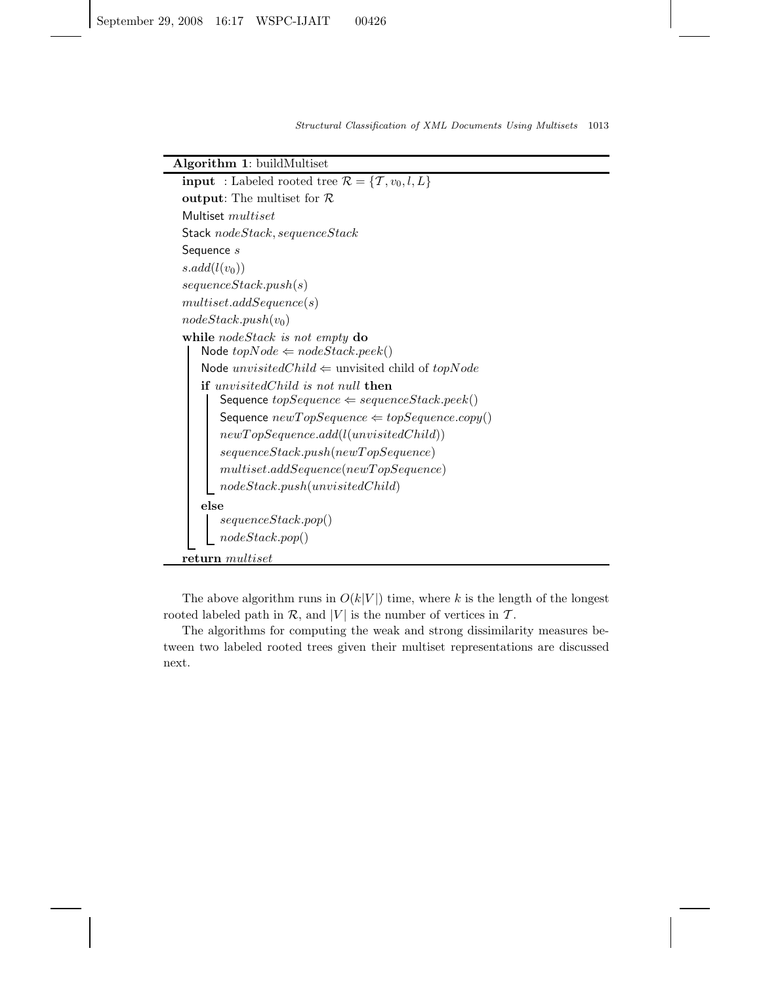# **Algorithm 1**: buildMultiset

**input** : Labeled rooted tree  $\mathcal{R} = \{T, v_0, l, L\}$ **output**: The multiset for R Multiset multiset Stack nodeStack, sequenceStack Sequence s  $s.add(l(v_0))$ sequenceStack.push(s)  $multiset.addSequence(s)$  $nodeStack.push(v_0)$ **while** nodeStack *is not empty* **do** Node  $topNode \Leftarrow nodeStack, peek()$ Node  $unvisitedChild \Leftarrow$  unvisited child of  $topNode$ **if** unvisitedChild *is not* null **then** Sequence  $topSequence \Leftarrow sequenceStack, peek()$ Sequence  $newTopSequence \Leftarrow topSequence.copy()$  $newTopSequence.add(l(unvisitedChild))$  $sequenceStack.push(newTopSequence)$  $multiset.addSequence(newTopSequence)$  $nodeStack.push(unvisitedChild)$ **else** sequenceStack.pop() nodeStack.pop() **return** multiset

The above algorithm runs in  $O(k|V|)$  time, where k is the length of the longest rooted labeled path in  $\mathcal{R}$ , and |V| is the number of vertices in  $\mathcal{T}$ .

The algorithms for computing the weak and strong dissimilarity measures between two labeled rooted trees given their multiset representations are discussed next.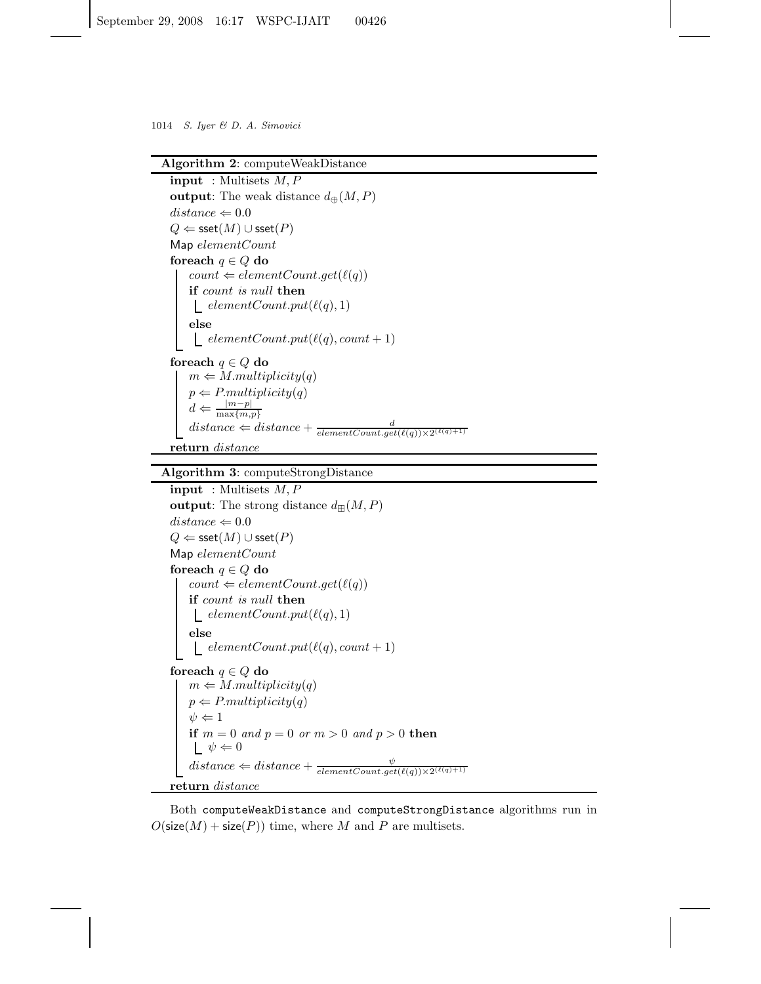## **Algorithm 2**: computeWeakDistance

**input** : Multisets M,P **output**: The weak distance  $d_{\oplus}(M, P)$  $distance \Leftarrow 0.0$  $Q \Leftarrow$  sset $(M) \cup$  sset $(P)$ Map elementCount **foreach**  $q \in Q$  **do**  $count \Leftarrow elementCount.get(\ell(q))$ **if** count *is* null **then** elementCount.put( $\ell(q), 1$ ) **else**  $\text{\_} elementCount.put(\ell(q), count + 1)$ **foreach** q ∈ Q **do**  $m \leftarrow M.multiplicity(q)$  $p \Leftarrow P.multiplicity(q)$  $d \Leftarrow \frac{|m-p|}{\max\{m,p\}}$  $distance \Leftarrow distance +$  $elementCount.get(\ell(q)) \times 2^{(\ell(q)+1)}$ 

**return** distance

## **Algorithm 3**: computeStrongDistance

**input** : Multisets M,P

```
output: The strong distance d_{\text{H}}(M, P)distance \Leftarrow 0.0Q \Leftarrow sset(M) \cup sset(P)Map elementCount
foreach q ∈ Q do
    count \Leftarrow elementCount.get(\ell(q))if count is null then
     \textcolor{red}{\vdash} elementCount.put(\ell(q), 1)else
     \textcolor{red}{\bigcup} elementCount.put(\ell(q), count + 1)foreach q ∈ Q do
    m \leftarrow M.multiplicity(q)p \leftarrow P.multiplicity(q)\psi \Leftarrow 1if m = 0 and p = 0 or m > 0 and p > 0 then
     \Box \psi \Leftarrow 0distance \Leftarrow distance + \frac{\psi}{elementCount.get(\ell(q)) \times 2^{(\ell(q)+1)}}return distance
```
Both computeWeakDistance and computeStrongDistance algorithms run in  $O(\text{size}(M) + \text{size}(P))$  time, where M and P are multisets.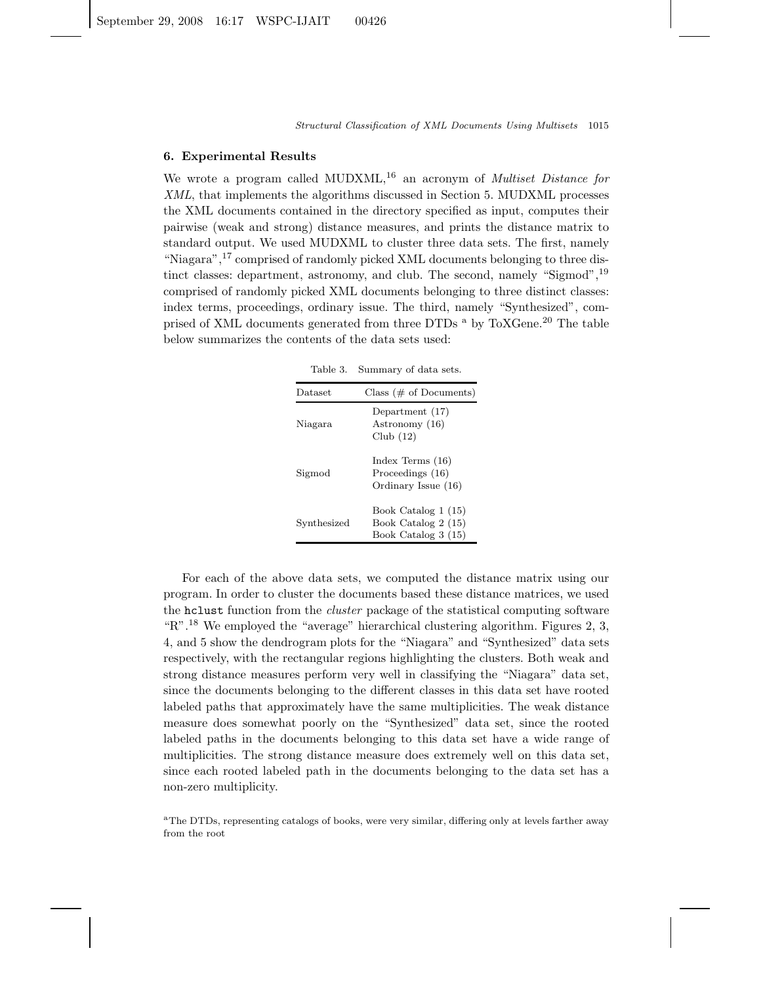## **6. Experimental Results**

We wrote a program called MUDXML,<sup>16</sup> an acronym of *Multiset Distance for XML*, that implements the algorithms discussed in Section 5. MUDXML processes the XML documents contained in the directory specified as input, computes their pairwise (weak and strong) distance measures, and prints the distance matrix to standard output. We used MUDXML to cluster three data sets. The first, namely "Niagara",<sup>17</sup> comprised of randomly picked XML documents belonging to three distinct classes: department, astronomy, and club. The second, namely "Sigmod", <sup>19</sup> comprised of randomly picked XML documents belonging to three distinct classes: index terms, proceedings, ordinary issue. The third, namely "Synthesized", comprised of XML documents generated from three DTDs  $^{\circ}$  by ToXGene.<sup>20</sup> The table below summarizes the contents of the data sets used:

Table 3. Summary of data sets.

| Dataset     | Class ( $#$ of Documents)                                         |
|-------------|-------------------------------------------------------------------|
| Niagara     | Department (17)<br>Astronomy (16)<br>Club $(12)$                  |
| Sigmod      | Index Terms $(16)$<br>Proceedings (16)<br>Ordinary Issue (16)     |
| Synthesized | Book Catalog 1 (15)<br>Book Catalog 2 (15)<br>Book Catalog 3 (15) |

For each of the above data sets, we computed the distance matrix using our program. In order to cluster the documents based these distance matrices, we used the hclust function from the *cluster* package of the statistical computing software "R".<sup>18</sup> We employed the "average" hierarchical clustering algorithm. Figures 2, 3, 4, and 5 show the dendrogram plots for the "Niagara" and "Synthesized" data sets respectively, with the rectangular regions highlighting the clusters. Both weak and strong distance measures perform very well in classifying the "Niagara" data set, since the documents belonging to the different classes in this data set have rooted labeled paths that approximately have the same multiplicities. The weak distance measure does somewhat poorly on the "Synthesized" data set, since the rooted labeled paths in the documents belonging to this data set have a wide range of multiplicities. The strong distance measure does extremely well on this data set, since each rooted labeled path in the documents belonging to the data set has a non-zero multiplicity.

<sup>a</sup>The DTDs, representing catalogs of books, were very similar, differing only at levels farther away from the root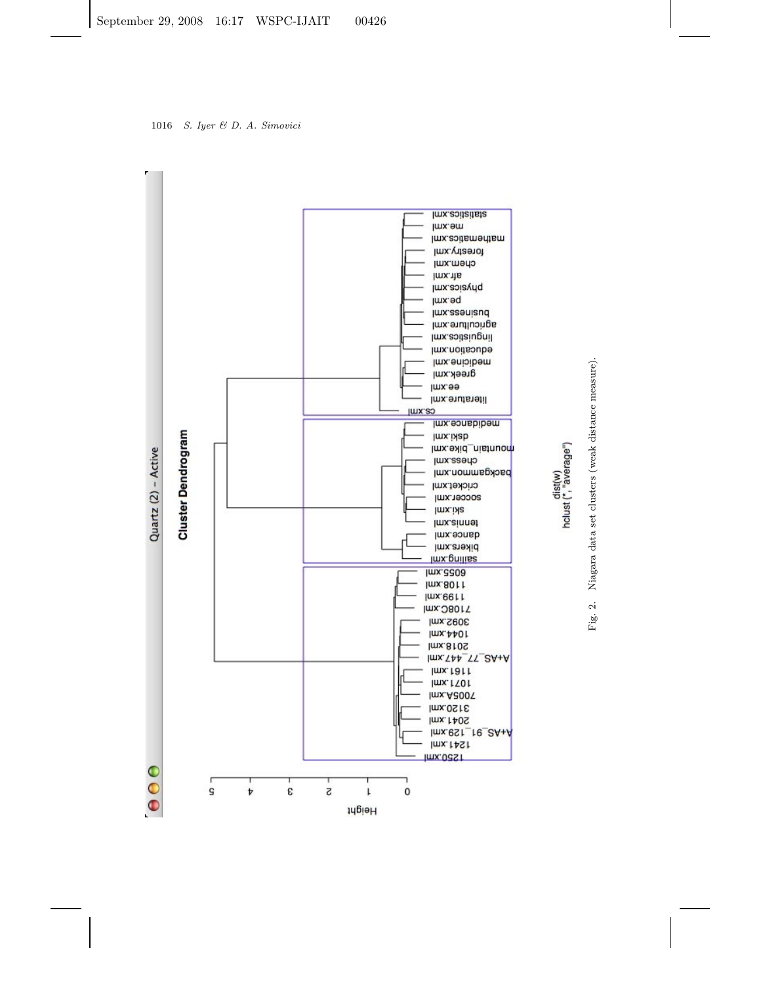



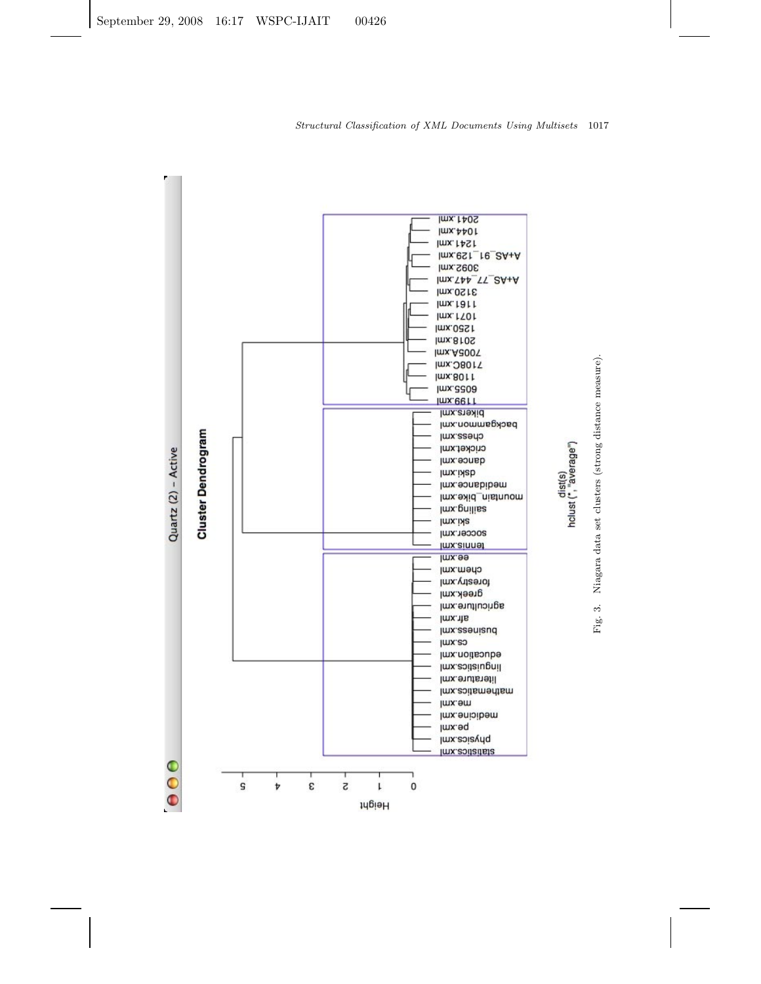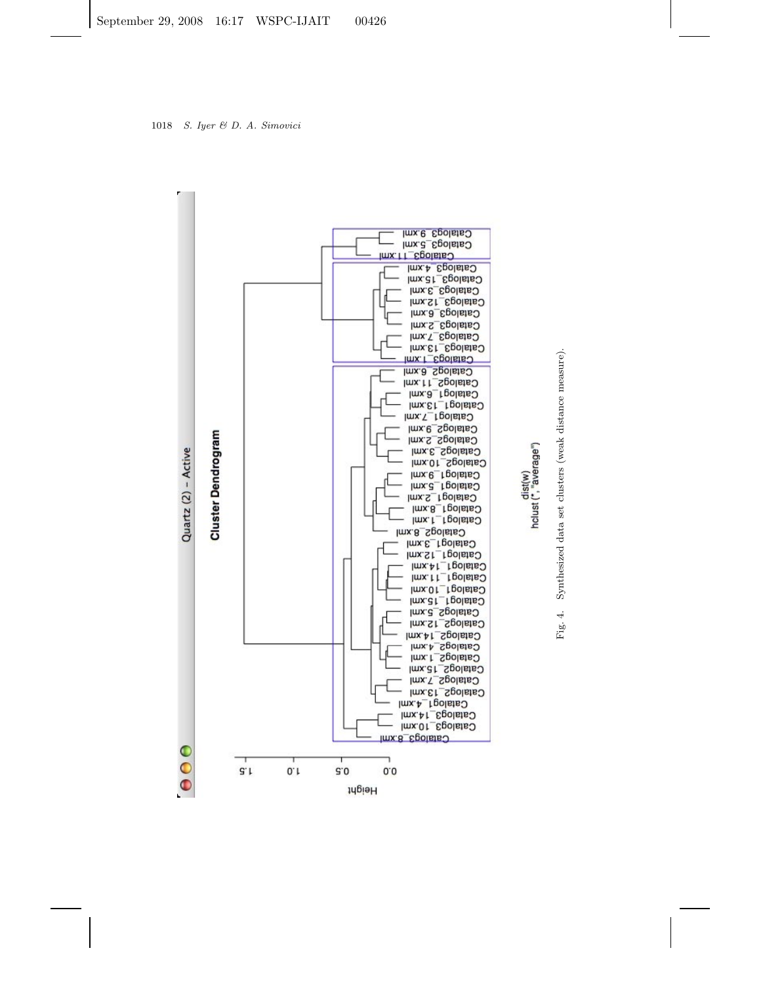

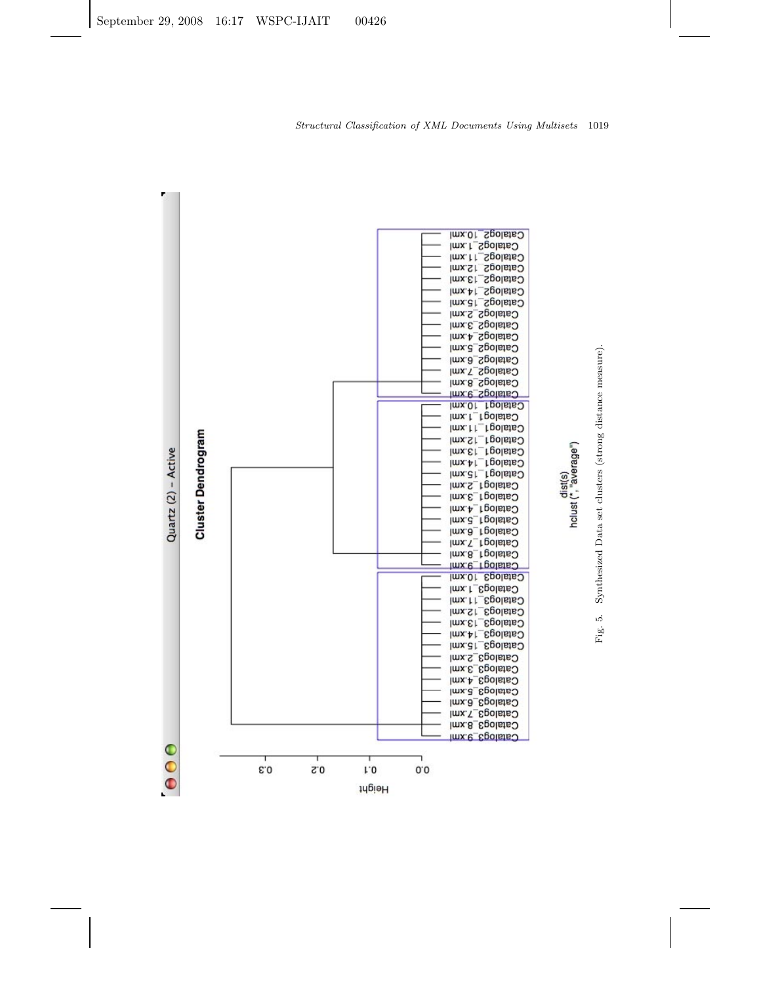

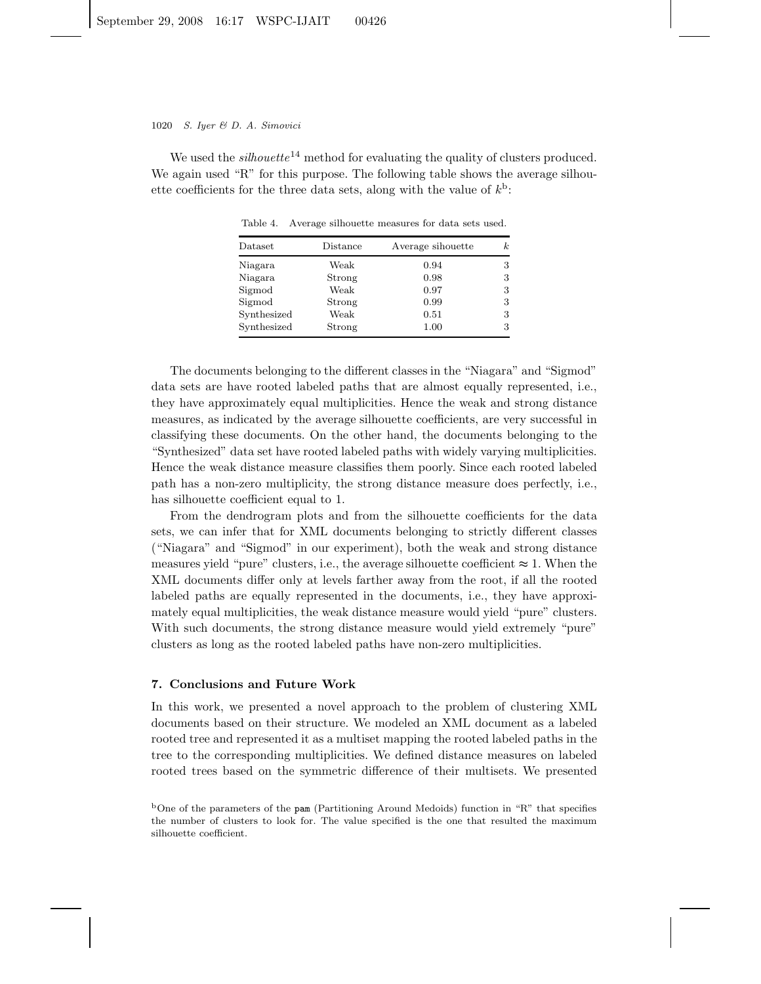We used the *silhouette*<sup>14</sup> method for evaluating the quality of clusters produced. We again used "R" for this purpose. The following table shows the average silhouette coefficients for the three data sets, along with the value of  $k<sup>b</sup>$ :

| $_{\text{Dataset}}$ | Distance | Average sihouette | $\boldsymbol{k}$ |
|---------------------|----------|-------------------|------------------|
| Niagara             | Weak     | 0.94              | 3                |
| Niagara             | Strong   | 0.98              | 3                |
| Sigmod              | Weak     | 0.97              | 3                |
| Sigmod              | Strong   | 0.99              | 3                |
| Synthesized         | Weak     | 0.51              | 3                |
| Synthesized         | Strong   | 1.00              | 3                |
|                     |          |                   |                  |

Table 4. Average silhouette measures for data sets used.

The documents belonging to the different classes in the "Niagara" and "Sigmod" data sets are have rooted labeled paths that are almost equally represented, i.e., they have approximately equal multiplicities. Hence the weak and strong distance measures, as indicated by the average silhouette coefficients, are very successful in classifying these documents. On the other hand, the documents belonging to the "Synthesized" data set have rooted labeled paths with widely varying multiplicities. Hence the weak distance measure classifies them poorly. Since each rooted labeled path has a non-zero multiplicity, the strong distance measure does perfectly, i.e., has silhouette coefficient equal to 1.

From the dendrogram plots and from the silhouette coefficients for the data sets, we can infer that for XML documents belonging to strictly different classes ("Niagara" and "Sigmod" in our experiment), both the weak and strong distance measures yield "pure" clusters, i.e., the average silhouette coefficient  $\approx 1$ . When the XML documents differ only at levels farther away from the root, if all the rooted labeled paths are equally represented in the documents, i.e., they have approximately equal multiplicities, the weak distance measure would yield "pure" clusters. With such documents, the strong distance measure would yield extremely "pure" clusters as long as the rooted labeled paths have non-zero multiplicities.

## **7. Conclusions and Future Work**

In this work, we presented a novel approach to the problem of clustering XML documents based on their structure. We modeled an XML document as a labeled rooted tree and represented it as a multiset mapping the rooted labeled paths in the tree to the corresponding multiplicities. We defined distance measures on labeled rooted trees based on the symmetric difference of their multisets. We presented

<sup>b</sup>One of the parameters of the pam (Partitioning Around Medoids) function in "R" that specifies the number of clusters to look for. The value specified is the one that resulted the maximum silhouette coefficient.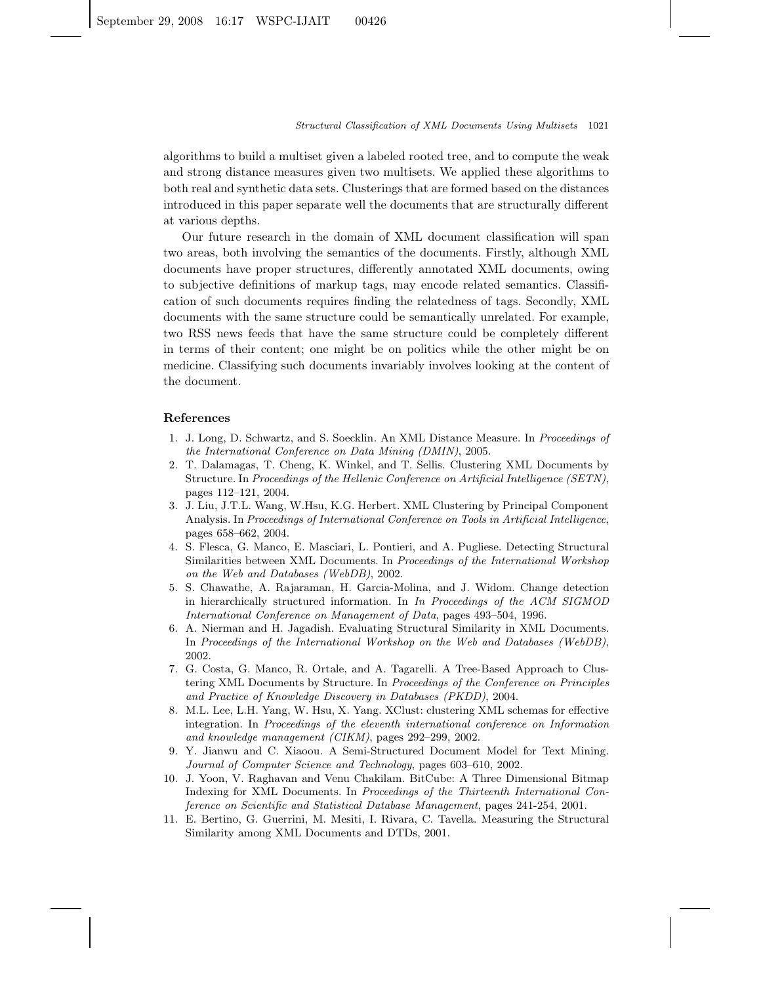algorithms to build a multiset given a labeled rooted tree, and to compute the weak and strong distance measures given two multisets. We applied these algorithms to both real and synthetic data sets. Clusterings that are formed based on the distances introduced in this paper separate well the documents that are structurally different at various depths.

Our future research in the domain of XML document classification will span two areas, both involving the semantics of the documents. Firstly, although XML documents have proper structures, differently annotated XML documents, owing to subjective definitions of markup tags, may encode related semantics. Classification of such documents requires finding the relatedness of tags. Secondly, XML documents with the same structure could be semantically unrelated. For example, two RSS news feeds that have the same structure could be completely different in terms of their content; one might be on politics while the other might be on medicine. Classifying such documents invariably involves looking at the content of the document.

#### **References**

- 1. J. Long, D. Schwartz, and S. Soecklin. An XML Distance Measure. In *Proceedings of the International Conference on Data Mining (DMIN)*, 2005.
- 2. T. Dalamagas, T. Cheng, K. Winkel, and T. Sellis. Clustering XML Documents by Structure. In *Proceedings of the Hellenic Conference on Artificial Intelligence (SETN)*, pages 112–121, 2004.
- 3. J. Liu, J.T.L. Wang, W.Hsu, K.G. Herbert. XML Clustering by Principal Component Analysis. In *Proceedings of International Conference on Tools in Artificial Intelligence*, pages 658–662, 2004.
- 4. S. Flesca, G. Manco, E. Masciari, L. Pontieri, and A. Pugliese. Detecting Structural Similarities between XML Documents. In *Proceedings of the International Workshop on the Web and Databases (WebDB)*, 2002.
- 5. S. Chawathe, A. Rajaraman, H. Garcia-Molina, and J. Widom. Change detection in hierarchically structured information. In *In Proceedings of the ACM SIGMOD International Conference on Management of Data*, pages 493–504, 1996.
- 6. A. Nierman and H. Jagadish. Evaluating Structural Similarity in XML Documents. In *Proceedings of the International Workshop on the Web and Databases (WebDB)*, 2002.
- 7. G. Costa, G. Manco, R. Ortale, and A. Tagarelli. A Tree-Based Approach to Clustering XML Documents by Structure. In *Proceedings of the Conference on Principles and Practice of Knowledge Discovery in Databases (PKDD)*, 2004.
- 8. M.L. Lee, L.H. Yang, W. Hsu, X. Yang. XClust: clustering XML schemas for effective integration. In *Proceedings of the eleventh international conference on Information and knowledge management (CIKM)*, pages 292–299, 2002.
- 9. Y. Jianwu and C. Xiaoou. A Semi-Structured Document Model for Text Mining. *Journal of Computer Science and Technology*, pages 603–610, 2002.
- 10. J. Yoon, V. Raghavan and Venu Chakilam. BitCube: A Three Dimensional Bitmap Indexing for XML Documents. In *Proceedings of the Thirteenth International Conference on Scientific and Statistical Database Management*, pages 241-254, 2001.
- 11. E. Bertino, G. Guerrini, M. Mesiti, I. Rivara, C. Tavella. Measuring the Structural Similarity among XML Documents and DTDs, 2001.